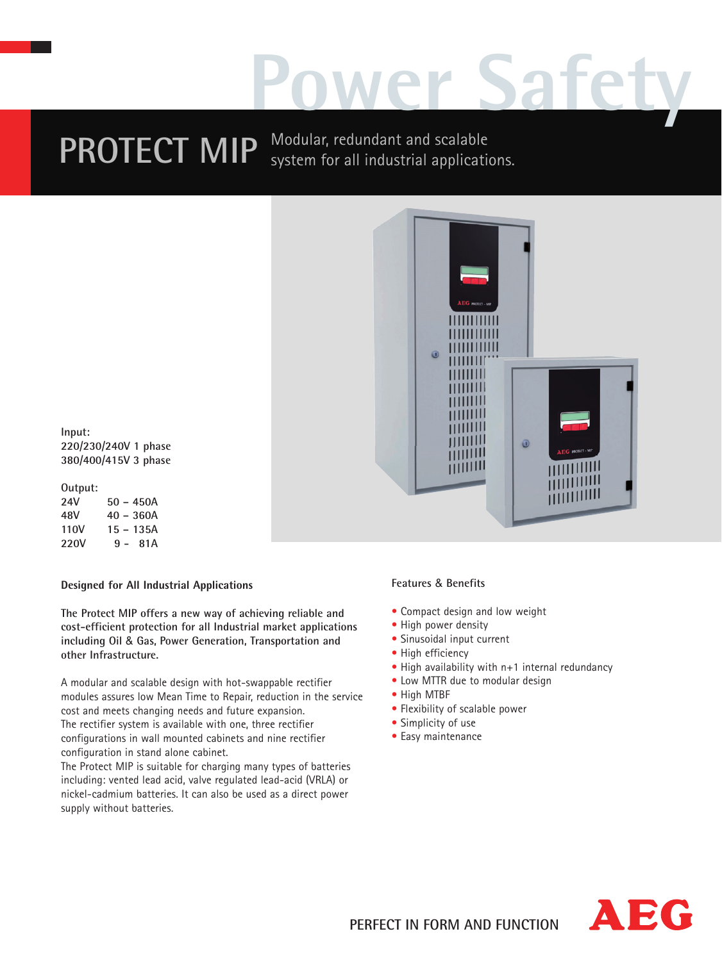# **Power Safety**

**PROTECT MIP** Modular, redundant and scalable system for all industrial applications.



**Input: 220/230/240V 1 phase 380/400/415V 3 phase**

## **Output:**

**24V 50 – 450A 48V 40 – 360A 110V 15 – 135A 220V 9 - 81A**

## **Designed for All Industrial Applications**

**The Protect MIP offers a new way of achieving reliable and cost-efficient protection for all Industrial market applications including Oil** & **Gas, Power Generation, Transportation and other Infrastructure.**

A modular and scalable design with hot-swappable rectifier modules assures low Mean Time to Repair, reduction in the service cost and meets changing needs and future expansion. The rectifier system is available with one, three rectifier configurations in wall mounted cabinets and nine rectifier configuration in stand alone cabinet.

The Protect MIP is suitable for charging many types of batteries including: vented lead acid, valve regulated lead-acid (VRLA) or nickel-cadmium batteries. It can also be used as a direct power supply without batteries.

## **Features** & **Benefits**

- Compact design and low weight
- High power density
- Sinusoidal input current
- High efficiency
- High availability with n+1 internal redundancy
- Low MTTR due to modular design
- High MTBF
- Flexibility of scalable power
- Simplicity of use
- Easy maintenance

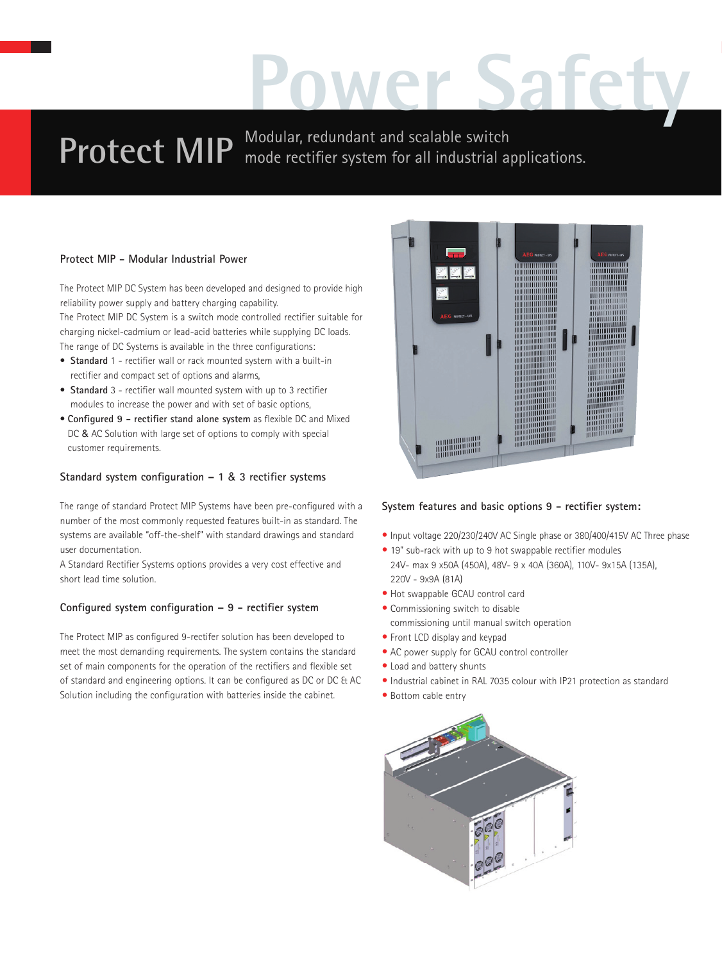## **Power Safety**

## **Protect MIP** Modular, redundant and scalable switch **Protect MIP** mode rectifier system for all industrial applications.

## **Protect MIP - Modular Industrial Power**

The Protect MIP DC System has been developed and designed to provide high reliability power supply and battery charging capability.

The Protect MIP DC System is a switch mode controlled rectifier suitable for charging nickel-cadmium or lead-acid batteries while supplying DC loads. The range of DC Systems is available in the three configurations:

- **Standard** 1 rectifier wall or rack mounted system with a built-in rectifier and compact set of options and alarms,
- **Standard** 3 rectifier wall mounted system with up to 3 rectifier modules to increase the power and with set of basic options,
- **Configured 9 rectifier stand alone system** as flexible DC and Mixed DC & AC Solution with large set of options to comply with special customer requirements.

## **Standard system configuration – 1** & **3 rectifier systems**

The range of standard Protect MIP Systems have been pre-configured with a number of the most commonly requested features built-in as standard. The systems are available "off-the-shelf" with standard drawings and standard user documentation.

A Standard Rectifier Systems options provides a very cost effective and short lead time solution.

## **Configured system configuration – 9 - rectifier system**

The Protect MIP as configured 9-rectifer solution has been developed to meet the most demanding requirements. The system contains the standard set of main components for the operation of the rectifiers and flexible set of standard and engineering options. It can be configured as DC or DC & AC Solution including the configuration with batteries inside the cabinet.



## **System features and basic options 9 - rectifier system:**

- Input voltage 220/230/240V AC Single phase or 380/400/415V AC Three phase
- 19" sub-rack with up to 9 hot swappable rectifier modules 24V- max 9 x50A (450A), 48V- 9 x 40A (360A), 110V- 9x15A (135A), 220V - 9x9A (81A)
- Hot swappable GCAU control card
- Commissioning switch to disable commissioning until manual switch operation
- Front LCD display and keypad
- AC power supply for GCAU control controller
- Load and battery shunts
- Industrial cabinet in RAL 7035 colour with IP21 protection as standard
- Bottom cable entry

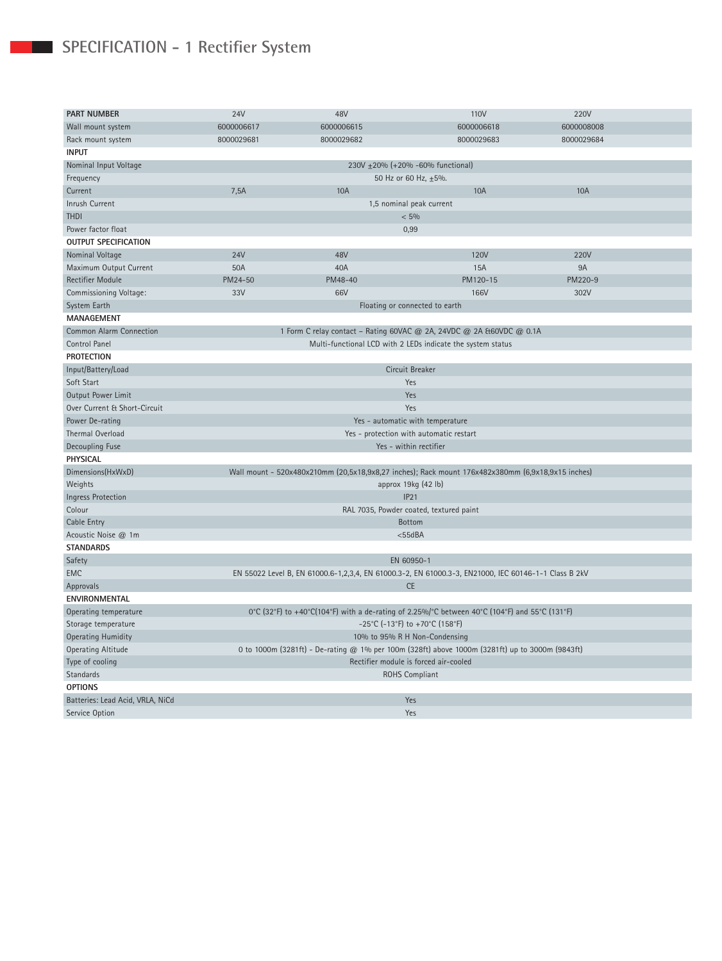## **SPECIFICATION - 1 Rectifier System**

| <b>PART NUMBER</b>               | <b>24V</b>                                                                                                        | 48V        | 110V        | 220V        |  |  |  |  |
|----------------------------------|-------------------------------------------------------------------------------------------------------------------|------------|-------------|-------------|--|--|--|--|
| Wall mount system                | 6000006617<br>6000006615                                                                                          |            | 6000006618  | 6000008008  |  |  |  |  |
| Rack mount system                | 8000029681                                                                                                        | 8000029682 | 8000029683  | 8000029684  |  |  |  |  |
| <b>INPUT</b>                     |                                                                                                                   |            |             |             |  |  |  |  |
| Nominal Input Voltage            | 230V ±20% (+20% -60% functional)                                                                                  |            |             |             |  |  |  |  |
| Frequency                        |                                                                                                                   |            |             |             |  |  |  |  |
| Current                          | 50 Hz or 60 Hz, ±5%.<br>7,5A<br><b>10A</b><br><b>10A</b><br><b>10A</b>                                            |            |             |             |  |  |  |  |
| Inrush Current                   |                                                                                                                   |            |             |             |  |  |  |  |
| <b>THDI</b>                      | 1,5 nominal peak current                                                                                          |            |             |             |  |  |  |  |
| Power factor float               | $< 5\%$                                                                                                           |            |             |             |  |  |  |  |
| <b>OUTPUT SPECIFICATION</b>      | 0,99                                                                                                              |            |             |             |  |  |  |  |
|                                  |                                                                                                                   |            |             |             |  |  |  |  |
| Nominal Voltage                  | <b>24V</b>                                                                                                        | 48V        | <b>120V</b> | <b>220V</b> |  |  |  |  |
| Maximum Output Current           | 50A                                                                                                               | 40A        | 15A         | <b>9A</b>   |  |  |  |  |
| Rectifier Module                 | PM24-50                                                                                                           | PM48-40    | PM120-15    | PM220-9     |  |  |  |  |
| Commissioning Voltage:           | 33V                                                                                                               | 66V        | 166V        | 302V        |  |  |  |  |
| System Earth                     | Floating or connected to earth                                                                                    |            |             |             |  |  |  |  |
| <b>MANAGEMENT</b>                |                                                                                                                   |            |             |             |  |  |  |  |
| <b>Common Alarm Connection</b>   | 1 Form C relay contact - Rating 60VAC @ 2A, 24VDC @ 2A &60VDC @ 0.1A                                              |            |             |             |  |  |  |  |
| Control Panel                    | Multi-functional LCD with 2 LEDs indicate the system status                                                       |            |             |             |  |  |  |  |
| <b>PROTECTION</b>                |                                                                                                                   |            |             |             |  |  |  |  |
| Input/Battery/Load               | Circuit Breaker                                                                                                   |            |             |             |  |  |  |  |
| Soft Start                       | Yes                                                                                                               |            |             |             |  |  |  |  |
| Output Power Limit               | Yes                                                                                                               |            |             |             |  |  |  |  |
| Over Current & Short-Circuit     | Yes                                                                                                               |            |             |             |  |  |  |  |
| Power De-rating                  | Yes - automatic with temperature                                                                                  |            |             |             |  |  |  |  |
| Thermal Overload                 | Yes - protection with automatic restart                                                                           |            |             |             |  |  |  |  |
| Decoupling Fuse                  | Yes - within rectifier                                                                                            |            |             |             |  |  |  |  |
| <b>PHYSICAL</b>                  |                                                                                                                   |            |             |             |  |  |  |  |
| Dimensions(HxWxD)                | Wall mount - 520x480x210mm (20,5x18,9x8,27 inches); Rack mount 176x482x380mm (6,9x18,9x15 inches)                 |            |             |             |  |  |  |  |
| Weights                          | approx 19kg (42 lb)                                                                                               |            |             |             |  |  |  |  |
| <b>Ingress Protection</b>        | IP21                                                                                                              |            |             |             |  |  |  |  |
| Colour                           | RAL 7035, Powder coated, textured paint                                                                           |            |             |             |  |  |  |  |
| Cable Entry                      | Bottom                                                                                                            |            |             |             |  |  |  |  |
| Acoustic Noise @ 1m              | $<$ 55dBA                                                                                                         |            |             |             |  |  |  |  |
| <b>STANDARDS</b>                 |                                                                                                                   |            |             |             |  |  |  |  |
| Safety                           |                                                                                                                   |            | EN 60950-1  |             |  |  |  |  |
| <b>EMC</b>                       |                                                                                                                   |            |             |             |  |  |  |  |
| Approvals                        | EN 55022 Level B, EN 61000.6-1,2,3,4, EN 61000.3-2, EN 61000.3-3, EN21000, IEC 60146-1-1 Class B 2kV<br><b>CE</b> |            |             |             |  |  |  |  |
| <b>ENVIRONMENTAL</b>             |                                                                                                                   |            |             |             |  |  |  |  |
| Operating temperature            |                                                                                                                   |            |             |             |  |  |  |  |
|                                  | 0°C (32°F) to +40°C(104°F) with a de-rating of 2.25%/°C between 40°C (104°F) and 55°C (131°F)                     |            |             |             |  |  |  |  |
| Storage temperature              | -25°C (-13°F) to +70°C (158°F)                                                                                    |            |             |             |  |  |  |  |
| <b>Operating Humidity</b>        | 10% to 95% R H Non-Condensing                                                                                     |            |             |             |  |  |  |  |
| <b>Operating Altitude</b>        | 0 to 1000m (3281ft) - De-rating @ 1% per 100m (328ft) above 1000m (3281ft) up to 3000m (9843ft)                   |            |             |             |  |  |  |  |
| Type of cooling                  | Rectifier module is forced air-cooled<br><b>ROHS Compliant</b>                                                    |            |             |             |  |  |  |  |
| Standards                        |                                                                                                                   |            |             |             |  |  |  |  |
| <b>OPTIONS</b>                   |                                                                                                                   |            |             |             |  |  |  |  |
| Batteries: Lead Acid, VRLA, NiCd | Yes                                                                                                               |            |             |             |  |  |  |  |
| Service Option                   | Yes                                                                                                               |            |             |             |  |  |  |  |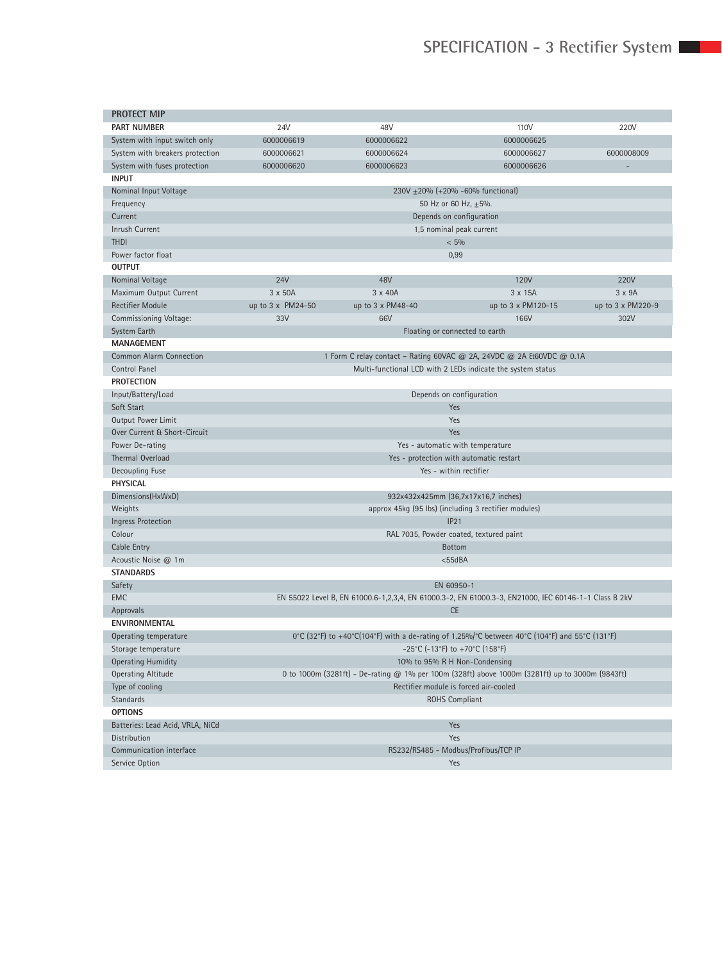| <b>PROTECT MIP</b>               |                                                                                                      |                   |                                                                       |                   |  |  |  |
|----------------------------------|------------------------------------------------------------------------------------------------------|-------------------|-----------------------------------------------------------------------|-------------------|--|--|--|
| <b>PART NUMBER</b>               | 24V                                                                                                  | 48V               | 110V                                                                  | 220V              |  |  |  |
| System with input switch only    | 6000006619                                                                                           | 6000006622        | 6000006625                                                            |                   |  |  |  |
| System with breakers protection  | 6000006621                                                                                           | 6000006624        | 6000006627                                                            | 6000008009        |  |  |  |
| System with fuses protection     | 6000006620                                                                                           | 6000006623        | 6000006626                                                            |                   |  |  |  |
| <b>INPUT</b>                     |                                                                                                      |                   |                                                                       |                   |  |  |  |
| Nominal Input Voltage            | 230V ±20% (+20% -60% functional)                                                                     |                   |                                                                       |                   |  |  |  |
| Frequency                        | 50 Hz or 60 Hz, ±5%.                                                                                 |                   |                                                                       |                   |  |  |  |
| Current                          | Depends on configuration                                                                             |                   |                                                                       |                   |  |  |  |
| Inrush Current                   | 1,5 nominal peak current                                                                             |                   |                                                                       |                   |  |  |  |
| <b>THDI</b>                      | $< 5\%$                                                                                              |                   |                                                                       |                   |  |  |  |
| Power factor float               |                                                                                                      |                   | 0,99                                                                  |                   |  |  |  |
| <b>OUTPUT</b>                    |                                                                                                      |                   |                                                                       |                   |  |  |  |
| Nominal Voltage                  | <b>24V</b>                                                                                           | 48V               | <b>120V</b>                                                           | 220V              |  |  |  |
| Maximum Output Current           | 3 x 50A                                                                                              | 3 x 40A           | 3 x 15A                                                               | 3 x 9A            |  |  |  |
| <b>Rectifier Module</b>          | up to 3 x PM24-50                                                                                    | up to 3 x PM48-40 | up to 3 x PM120-15                                                    | up to 3 x PM220-9 |  |  |  |
| Commissioning Voltage:           | 33V                                                                                                  | 66V               | 166V                                                                  | 302V              |  |  |  |
| System Earth                     |                                                                                                      |                   | Floating or connected to earth                                        |                   |  |  |  |
| <b>MANAGEMENT</b>                |                                                                                                      |                   |                                                                       |                   |  |  |  |
| <b>Common Alarm Connection</b>   |                                                                                                      |                   | 1 Form C relay contact - Rating 60VAC @ 2A, 24VDC @ 2A & 60VDC @ 0.1A |                   |  |  |  |
| Control Panel                    |                                                                                                      |                   | Multi-functional LCD with 2 LEDs indicate the system status           |                   |  |  |  |
| <b>PROTECTION</b>                |                                                                                                      |                   |                                                                       |                   |  |  |  |
| Input/Battery/Load               | Depends on configuration                                                                             |                   |                                                                       |                   |  |  |  |
| Soft Start                       | Yes                                                                                                  |                   |                                                                       |                   |  |  |  |
| Output Power Limit               | Yes                                                                                                  |                   |                                                                       |                   |  |  |  |
| Over Current & Short-Circuit     | Yes                                                                                                  |                   |                                                                       |                   |  |  |  |
| Power De-rating                  | Yes - automatic with temperature                                                                     |                   |                                                                       |                   |  |  |  |
| <b>Thermal Overload</b>          | Yes - protection with automatic restart                                                              |                   |                                                                       |                   |  |  |  |
| Decoupling Fuse                  | Yes - within rectifier                                                                               |                   |                                                                       |                   |  |  |  |
| <b>PHYSICAL</b>                  |                                                                                                      |                   |                                                                       |                   |  |  |  |
| Dimensions(HxWxD)                | 932x432x425mm (36,7x17x16,7 inches)                                                                  |                   |                                                                       |                   |  |  |  |
| Weights                          | approx 45kg (95 lbs) (including 3 rectifier modules)                                                 |                   |                                                                       |                   |  |  |  |
| <b>Ingress Protection</b>        | IP21                                                                                                 |                   |                                                                       |                   |  |  |  |
| Colour                           | RAL 7035, Powder coated, textured paint                                                              |                   |                                                                       |                   |  |  |  |
| Cable Entry                      | <b>Bottom</b>                                                                                        |                   |                                                                       |                   |  |  |  |
| Acoustic Noise @ 1m              | $<$ 55dBA                                                                                            |                   |                                                                       |                   |  |  |  |
| <b>STANDARDS</b>                 |                                                                                                      |                   |                                                                       |                   |  |  |  |
| Safety                           | EN 60950-1                                                                                           |                   |                                                                       |                   |  |  |  |
| <b>EMC</b>                       | EN 55022 Level B, EN 61000.6-1,2,3,4, EN 61000.3-2, EN 61000.3-3, EN21000, IEC 60146-1-1 Class B 2kV |                   |                                                                       |                   |  |  |  |
| Approvals                        |                                                                                                      |                   | <b>CE</b>                                                             |                   |  |  |  |
| <b>ENVIRONMENTAL</b>             |                                                                                                      |                   |                                                                       |                   |  |  |  |
| Operating temperature            | 0°C (32°F) to +40°C(104°F) with a de-rating of 1.25%/°C between 40°C (104°F) and 55°C (131°F)        |                   |                                                                       |                   |  |  |  |
| Storage temperature              | -25°C (-13°F) to +70°C (158°F)                                                                       |                   |                                                                       |                   |  |  |  |
| <b>Operating Humidity</b>        | 10% to 95% R H Non-Condensing                                                                        |                   |                                                                       |                   |  |  |  |
| <b>Operating Altitude</b>        | 0 to 1000m (3281ft) - De-rating @ 1% per 100m (328ft) above 1000m (3281ft) up to 3000m (9843ft)      |                   |                                                                       |                   |  |  |  |
| Type of cooling                  | Rectifier module is forced air-cooled                                                                |                   |                                                                       |                   |  |  |  |
| Standards                        |                                                                                                      |                   | <b>ROHS Compliant</b>                                                 |                   |  |  |  |
| <b>OPTIONS</b>                   |                                                                                                      |                   |                                                                       |                   |  |  |  |
| Batteries: Lead Acid, VRLA, NiCd | Yes                                                                                                  |                   |                                                                       |                   |  |  |  |
| Distribution                     | Yes                                                                                                  |                   |                                                                       |                   |  |  |  |
| Communication interface          | RS232/RS485 - Modbus/Profibus/TCP IP                                                                 |                   |                                                                       |                   |  |  |  |
| Service Option                   | Yes                                                                                                  |                   |                                                                       |                   |  |  |  |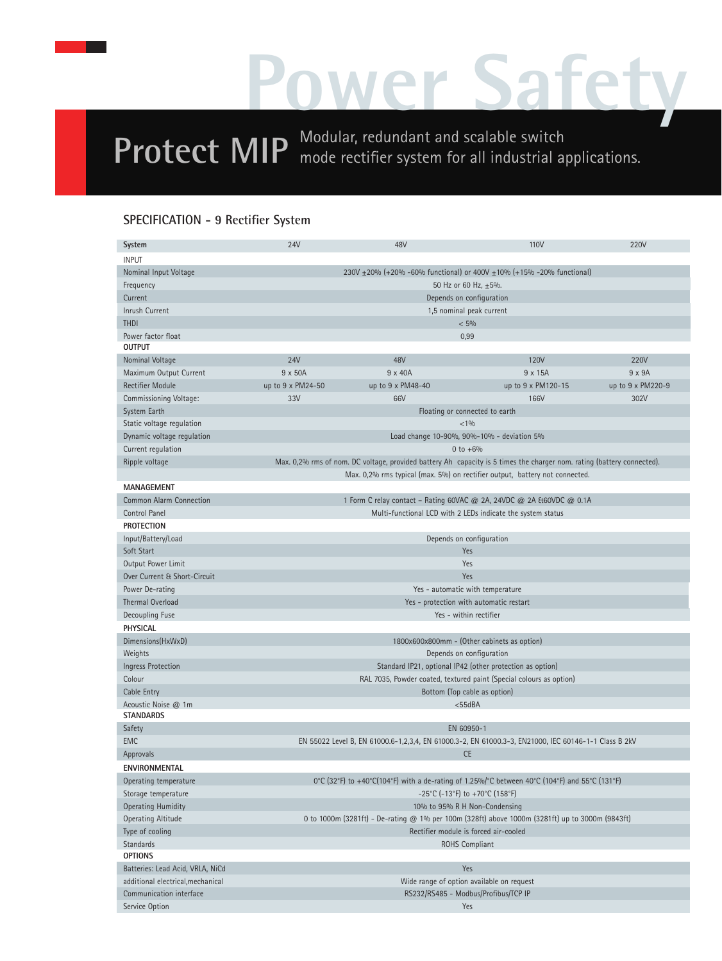## **Power Safety**

**Protect MIP** Modular, redundant and scalable switch mode rectifier system for all industrial applications.

## **SPECIFICATION - 9 Rectifier System**

| <b>System</b>                     | <b>24V</b>                                                                                                             | 48V               | 110V                                                                        | 220V              |  |  |  |
|-----------------------------------|------------------------------------------------------------------------------------------------------------------------|-------------------|-----------------------------------------------------------------------------|-------------------|--|--|--|
| <b>INPUT</b>                      |                                                                                                                        |                   |                                                                             |                   |  |  |  |
| Nominal Input Voltage             | 230V ±20% (+20% -60% functional) or 400V ±10% (+15% -20% functional)                                                   |                   |                                                                             |                   |  |  |  |
| Frequency                         | 50 Hz or 60 Hz, ±5%.                                                                                                   |                   |                                                                             |                   |  |  |  |
| Current                           | Depends on configuration                                                                                               |                   |                                                                             |                   |  |  |  |
| <b>Inrush Current</b>             | 1,5 nominal peak current                                                                                               |                   |                                                                             |                   |  |  |  |
| <b>THDI</b>                       | $< 5\%$                                                                                                                |                   |                                                                             |                   |  |  |  |
| Power factor float                | 0,99                                                                                                                   |                   |                                                                             |                   |  |  |  |
| <b>OUTPUT</b>                     |                                                                                                                        |                   |                                                                             |                   |  |  |  |
| Nominal Voltage                   | <b>24V</b>                                                                                                             | 48V               | 120V                                                                        | 220V              |  |  |  |
| Maximum Output Current            | 9 x 50A                                                                                                                | 9 x 40A           | 9 x 15A                                                                     | $9 \times 9A$     |  |  |  |
| <b>Rectifier Module</b>           | up to 9 x PM24-50                                                                                                      | up to 9 x PM48-40 | up to 9 x PM120-15                                                          | up to 9 x PM220-9 |  |  |  |
| Commissioning Voltage:            | 33V                                                                                                                    | 66V               | 166V                                                                        | 302V              |  |  |  |
| System Earth                      | Floating or connected to earth                                                                                         |                   |                                                                             |                   |  |  |  |
| Static voltage regulation         | < 1%                                                                                                                   |                   |                                                                             |                   |  |  |  |
| Dynamic voltage regulation        | Load change 10-90%, 90%-10% - deviation 5%                                                                             |                   |                                                                             |                   |  |  |  |
| Current regulation                | $0 to +6%$                                                                                                             |                   |                                                                             |                   |  |  |  |
| Ripple voltage                    | Max. 0,2% rms of nom. DC voltage, provided battery Ah capacity is 5 times the charger nom. rating (battery connected). |                   |                                                                             |                   |  |  |  |
|                                   |                                                                                                                        |                   | Max. 0,2% rms typical (max. 5%) on rectifier output, battery not connected. |                   |  |  |  |
| <b>MANAGEMENT</b>                 |                                                                                                                        |                   |                                                                             |                   |  |  |  |
| <b>Common Alarm Connection</b>    |                                                                                                                        |                   | 1 Form C relay contact - Rating 60VAC @ 2A, 24VDC @ 2A & 60VDC @ 0.1A       |                   |  |  |  |
| Control Panel                     |                                                                                                                        |                   | Multi-functional LCD with 2 LEDs indicate the system status                 |                   |  |  |  |
| <b>PROTECTION</b>                 |                                                                                                                        |                   |                                                                             |                   |  |  |  |
| Input/Battery/Load                | Depends on configuration                                                                                               |                   |                                                                             |                   |  |  |  |
| Soft Start                        | Yes                                                                                                                    |                   |                                                                             |                   |  |  |  |
| Output Power Limit                | Yes                                                                                                                    |                   |                                                                             |                   |  |  |  |
| Over Current & Short-Circuit      | Yes                                                                                                                    |                   |                                                                             |                   |  |  |  |
| Power De-rating                   | Yes - automatic with temperature                                                                                       |                   |                                                                             |                   |  |  |  |
| <b>Thermal Overload</b>           | Yes - protection with automatic restart                                                                                |                   |                                                                             |                   |  |  |  |
| Decoupling Fuse                   | Yes - within rectifier                                                                                                 |                   |                                                                             |                   |  |  |  |
| <b>PHYSICAL</b>                   |                                                                                                                        |                   |                                                                             |                   |  |  |  |
| Dimensions(HxWxD)                 | 1800x600x800mm - (Other cabinets as option)                                                                            |                   |                                                                             |                   |  |  |  |
| Weights                           | Depends on configuration                                                                                               |                   |                                                                             |                   |  |  |  |
| Ingress Protection                | Standard IP21, optional IP42 (other protection as option)                                                              |                   |                                                                             |                   |  |  |  |
| Colour                            | RAL 7035, Powder coated, textured paint (Special colours as option)                                                    |                   |                                                                             |                   |  |  |  |
| Cable Entry                       | Bottom (Top cable as option)                                                                                           |                   |                                                                             |                   |  |  |  |
| Acoustic Noise @ 1m               | $<$ 55dBA                                                                                                              |                   |                                                                             |                   |  |  |  |
| <b>STANDARDS</b>                  |                                                                                                                        |                   |                                                                             |                   |  |  |  |
| Safety                            |                                                                                                                        |                   | EN 60950-1                                                                  |                   |  |  |  |
| EMC                               | EN 55022 Level B, EN 61000.6-1,2,3,4, EN 61000.3-2, EN 61000.3-3, EN21000, IEC 60146-1-1 Class B 2kV                   |                   |                                                                             |                   |  |  |  |
| Approvals                         |                                                                                                                        |                   | <b>CE</b>                                                                   |                   |  |  |  |
| <b>ENVIRONMENTAL</b>              |                                                                                                                        |                   |                                                                             |                   |  |  |  |
| Operating temperature             | 0°C (32°F) to +40°C(104°F) with a de-rating of 1.25%/°C between 40°C (104°F) and 55°C (131°F)                          |                   |                                                                             |                   |  |  |  |
| Storage temperature               | $-25^{\circ}$ C (-13 $^{\circ}$ F) to +70 $^{\circ}$ C (158 $^{\circ}$ F)                                              |                   |                                                                             |                   |  |  |  |
| <b>Operating Humidity</b>         | 10% to 95% R H Non-Condensing                                                                                          |                   |                                                                             |                   |  |  |  |
| <b>Operating Altitude</b>         | 0 to 1000m (3281ft) - De-rating @ 1% per 100m (328ft) above 1000m (3281ft) up to 3000m (9843ft)                        |                   |                                                                             |                   |  |  |  |
| Type of cooling                   | Rectifier module is forced air-cooled                                                                                  |                   |                                                                             |                   |  |  |  |
| Standards                         | <b>ROHS Compliant</b>                                                                                                  |                   |                                                                             |                   |  |  |  |
| <b>OPTIONS</b>                    |                                                                                                                        |                   |                                                                             |                   |  |  |  |
| Batteries: Lead Acid, VRLA, NiCd  |                                                                                                                        |                   | Yes                                                                         |                   |  |  |  |
| additional electrical, mechanical | Wide range of option available on request                                                                              |                   |                                                                             |                   |  |  |  |
| Communication interface           | RS232/RS485 - Modbus/Profibus/TCP IP                                                                                   |                   |                                                                             |                   |  |  |  |
| Service Option                    | Yes                                                                                                                    |                   |                                                                             |                   |  |  |  |